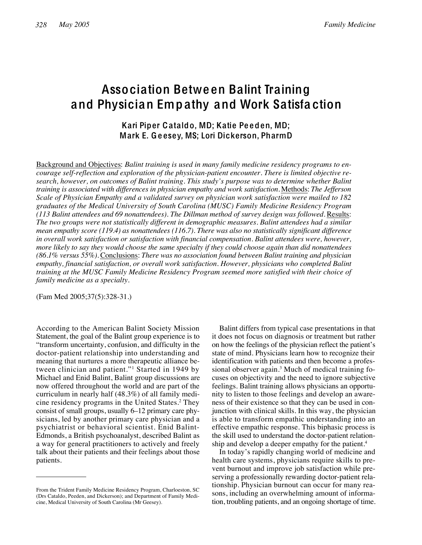# Association Betwe en Balint Training and Physician Emp athy and Work Satisfa ction

## Kari Piper Cataldo, MD; Katie Pe eden, MD; Mark E. Ge esey, MS; Lori Dickerson, PharmD

Background and Objectives: *Balint training is used in many family medicine residency programs to encourage self-reflection and exploration of the physician-patient encounter. There is limited objective research, however, on outcomes of Balint training. This study's purpose was to determine whether Balint training is associated with differences in physician empathy and work satisfaction.* Methods: *The Jefferson Scale of Physician Empathy and a validated survey on physician work satisfaction were mailed to 182 graduates of the Medical University of South Carolina (MUSC) Family Medicine Residency Program (113 Balint attendees and 69 nonattendees). The Dillman method of survey design was followed.* Results: *The two groups were not statistically different in demographic measures. Balint attendees had a similar mean empathy score (119.4) as nonattendees (116.7). There was also no statistically significant difference in overall work satisfaction or satisfaction with financial compensation. Balint attendees were, however, more likely to say they would choose the same specialty if they could choose again than did nonattendees (86.1% versus 55%).* Conclusions: *There was no association found between Balint training and physician empathy, financial satisfaction, or overall work satisfaction. However, physicians who completed Balint training at the MUSC Family Medicine Residency Program seemed more satisfied with their choice of family medicine as a specialty.*

(Fam Med 2005;37(5):328-31.)

According to the American Balint Society Mission Statement, the goal of the Balint group experience is to "transform uncertainty, confusion, and difficulty in the doctor-patient relationship into understanding and meaning that nurtures a more therapeutic alliance between clinician and patient."1 Started in 1949 by Michael and Enid Balint, Balint group discussions are now offered throughout the world and are part of the curriculum in nearly half (48.3%) of all family medicine residency programs in the United States.2 They consist of small groups, usually 6–12 primary care physicians, led by another primary care physician and a psychiatrist or behavioral scientist. Enid Balint-Edmonds, a British psychoanalyst, described Balint as a way for general practitioners to actively and freely talk about their patients and their feelings about those patients.

Balint differs from typical case presentations in that it does not focus on diagnosis or treatment but rather on how the feelings of the physician reflect the patient's state of mind. Physicians learn how to recognize their identification with patients and then become a professional observer again.<sup>3</sup> Much of medical training focuses on objectivity and the need to ignore subjective feelings. Balint training allows physicians an opportunity to listen to those feelings and develop an awareness of their existence so that they can be used in conjunction with clinical skills. In this way, the physician is able to transform empathic understanding into an effective empathic response. This biphasic process is the skill used to understand the doctor-patient relationship and develop a deeper empathy for the patient.<sup>4</sup>

In today's rapidly changing world of medicine and health care systems, physicians require skills to prevent burnout and improve job satisfaction while preserving a professionally rewarding doctor-patient relationship. Physician burnout can occur for many reasons, including an overwhelming amount of information, troubling patients, and an ongoing shortage of time.

From the Trident Family Medicine Residency Program, Charloeston, SC (Drs Cataldo, Peeden, and Dickerson); and Department of Family Medicine, Medical University of South Carolina (Mr Geesey).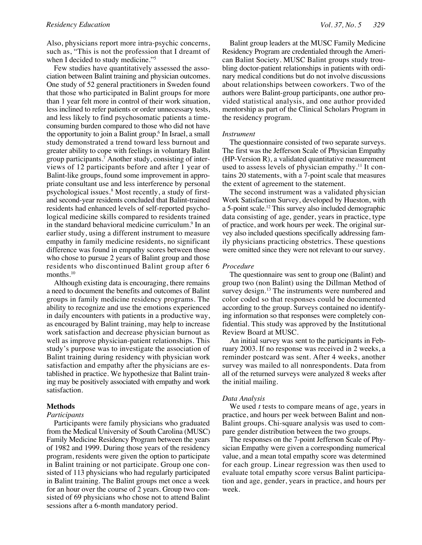Also, physicians report more intra-psychic concerns, such as, "This is not the profession that I dreamt of when I decided to study medicine."<sup>5</sup>

Few studies have quantitatively assessed the association between Balint training and physician outcomes. One study of 52 general practitioners in Sweden found that those who participated in Balint groups for more than 1 year felt more in control of their work situation, less inclined to refer patients or order unnecessary tests, and less likely to find psychosomatic patients a timeconsuming burden compared to those who did not have the opportunity to join a Balint group.<sup>6</sup> In Israel, a small study demonstrated a trend toward less burnout and greater ability to cope with feelings in voluntary Balint group participants.7 Another study, consisting of interviews of 12 participants before and after 1 year of Balint-like groups, found some improvement in appropriate consultant use and less interference by personal psychological issues.8 Most recently, a study of firstand second-year residents concluded that Balint-trained residents had enhanced levels of self-reported psychological medicine skills compared to residents trained in the standard behavioral medicine curriculum.<sup>9</sup> In an earlier study, using a different instrument to measure empathy in family medicine residents, no significant difference was found in empathy scores between those who chose to pursue 2 years of Balint group and those residents who discontinued Balint group after 6 months.<sup>10</sup>

Although existing data is encouraging, there remains a need to document the benefits and outcomes of Balint groups in family medicine residency programs. The ability to recognize and use the emotions experienced in daily encounters with patients in a productive way, as encouraged by Balint training, may help to increase work satisfaction and decrease physician burnout as well as improve physician-patient relationships. This study's purpose was to investigate the association of Balint training during residency with physician work satisfaction and empathy after the physicians are established in practice. We hypothesize that Balint training may be positively associated with empathy and work satisfaction.

#### **Methods**

#### *Participants*

Participants were family physicians who graduated from the Medical University of South Carolina (MUSC) Family Medicine Residency Program between the years of 1982 and 1999. During those years of the residency program, residents were given the option to participate in Balint training or not participate. Group one consisted of 113 physicians who had regularly participated in Balint training. The Balint groups met once a week for an hour over the course of 2 years. Group two consisted of 69 physicians who chose not to attend Balint sessions after a 6-month mandatory period.

Balint group leaders at the MUSC Family Medicine Residency Program are credentialed through the American Balint Society. MUSC Balint groups study troubling doctor-patient relationships in patients with ordinary medical conditions but do not involve discussions about relationships between coworkers. Two of the authors were Balint-group participants, one author provided statistical analysis, and one author provided mentorship as part of the Clinical Scholars Program in the residency program.

#### *Instrument*

The questionnaire consisted of two separate surveys. The first was the Jefferson Scale of Physician Empathy (HP-Version R), a validated quantitative measurement used to assess levels of physician empathy.<sup>11</sup> It contains 20 statements, with a 7-point scale that measures the extent of agreement to the statement.

The second instrument was a validated physician Work Satisfaction Survey, developed by Hueston, with a 5-point scale.12 This survey also included demographic data consisting of age, gender, years in practice, type of practice, and work hours per week. The original survey also included questions specifically addressing family physicians practicing obstetrics. These questions were omitted since they were not relevant to our survey.

#### *Procedure*

The questionnaire was sent to group one (Balint) and group two (non Balint) using the Dillman Method of survey design.<sup>13</sup> The instruments were numbered and color coded so that responses could be documented according to the group. Surveys contained no identifying information so that responses were completely confidential. This study was approved by the Institutional Review Board at MUSC.

An initial survey was sent to the participants in February 2003. If no response was received in 2 weeks, a reminder postcard was sent. After 4 weeks, another survey was mailed to all nonrespondents. Data from all of the returned surveys were analyzed 8 weeks after the initial mailing.

#### *Data Analysis*

We used *t* tests to compare means of age, years in practice, and hours per week between Balint and non-Balint groups. Chi-square analysis was used to compare gender distribution between the two groups.

The responses on the 7-point Jefferson Scale of Physician Empathy were given a corresponding numerical value, and a mean total empathy score was determined for each group. Linear regression was then used to evaluate total empathy score versus Balint participation and age, gender, years in practice, and hours per week.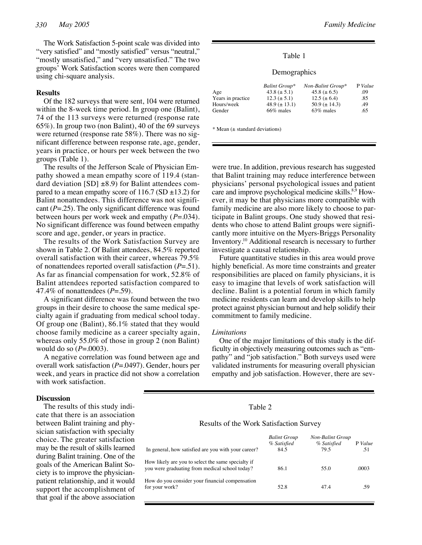The Work Satisfaction 5-point scale was divided into "very satisfied" and "mostly satisfied" versus "neutral," "mostly unsatisfied," and "very unsatisfied." The two groups' Work Satisfaction scores were then compared using chi-square analysis.

### **Results**

Of the 182 surveys that were sent, 104 were returned within the 8-week time period. In group one (Balint), 74 of the 113 surveys were returned (response rate 65%). In group two (non Balint), 40 of the 69 surveys were returned (response rate 58%). There was no significant difference between response rate, age, gender, years in practice, or hours per week between the two groups (Table 1).

The results of the Jefferson Scale of Physician Empathy showed a mean empathy score of 119.4 (standard deviation  $[SD] \pm 8.9$  for Balint attendees compared to a mean empathy score of  $116.7$  (SD  $\pm$ 13.2) for Balint nonattendees. This difference was not significant (*P*=.25). The only significant difference was found between hours per work week and empathy (*P*=.034). No significant difference was found between empathy score and age, gender, or years in practice.

The results of the Work Satisfaction Survey are shown in Table 2. Of Balint attendees, 84.5% reported overall satisfaction with their career, whereas 79.5% of nonattendees reported overall satisfaction (*P*=.51). As far as financial compensation for work, 52.8% of Balint attendees reported satisfaction compared to 47.4% of nonattendees (*P*=.59).

A significant difference was found between the two groups in their desire to choose the same medical specialty again if graduating from medical school today. Of group one (Balint), 86.1% stated that they would choose family medicine as a career specialty again, whereas only 55.0% of those in group 2 (non Balint) would do so (*P*=.0003).

A negative correlation was found between age and overall work satisfaction (*P*=.0497). Gender, hours per week, and years in practice did not show a correlation with work satisfaction.

#### Table 1

#### Demographics

|                   | Balint Group*       | Non-Balint Group*   | P Value |
|-------------------|---------------------|---------------------|---------|
| Age               | 43.8 $(\pm 5.1)$    | 45.8 ( $\pm$ 6.5)   | .09     |
| Years in practice | $12.3 (\pm 5.1)$    | $12.5 (\pm 6.4)$    | .85     |
| Hours/week        | $48.9 \ (\pm 13.1)$ | $50.9 \ (\pm 14.3)$ | .49     |
| Gender            | 66% males           | 63\% males          | .65     |

 $*$  Mean ( $\pm$  standard deviations)

were true. In addition, previous research has suggested that Balint training may reduce interference between physicians' personal psychological issues and patient care and improve psychological medicine skills.<sup>8,9</sup> However, it may be that physicians more compatible with family medicine are also more likely to choose to participate in Balint groups. One study showed that residents who chose to attend Balint groups were significantly more intuitive on the Myers-Briggs Personality Inventory.10 Additional research is necessary to further investigate a causal relationship.

Future quantitative studies in this area would prove highly beneficial. As more time constraints and greater responsibilities are placed on family physicians, it is easy to imagine that levels of work satisfaction will decline. Balint is a potential forum in which family medicine residents can learn and develop skills to help protect against physician burnout and help solidify their commitment to family medicine.

#### *Limitations*

One of the major limitations of this study is the difficulty in objectively measuring outcomes such as "empathy" and "job satisfaction." Both surveys used were validated instruments for measuring overall physician empathy and job satisfaction. However, there are sev-

#### **Discussion**

The results of this study indicate that there is an association between Balint training and physician satisfaction with specialty choice. The greater satisfaction may be the result of skills learned during Balint training. One of the goals of the American Balint Society is to improve the physicianpatient relationship, and it would support the accomplishment of that goal if the above association

### Table 2

Results of the Work Satisfaction Survey

| In general, how satisfied are you with your career?                                                  | <b>Balint Group</b><br>% Satisfied<br>84.5 | <b>Non-Balint Group</b><br>% Satisfied<br>79.5 | P Value<br>.51 |
|------------------------------------------------------------------------------------------------------|--------------------------------------------|------------------------------------------------|----------------|
| How likely are you to select the same specialty if<br>you were graduating from medical school today? | 86.1                                       | 55.0                                           | .0003          |
| How do you consider your financial compensation<br>for your work?                                    | 52.8                                       | 47.4                                           | .59            |